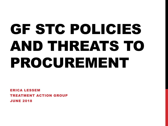# GF STC POLICIES AND THREATS TO PROCUREMENT

ERICA LESSEM TREATMENT ACTION GROUP JUNE 2018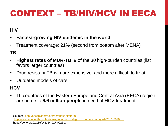# CONTEXT – TB/HIV/HCV IN EECA

### **HIV**

- **Fastest-growing HIV epidemic in the world**
- Treatment coverage: 21% (second from bottom after MENA**)**

### **TB**

- **Highest rates of MDR-TB**: 9 of the 30 high-burden countries (list favors larger countries)
- Drug resistant TB is more expensive, and more difficult to treat
- Outdated models of care

### **HCV**

• 16 countries of the Eastern Europe and Central Asia (EECA) region are home to **6.6 million people** in need of HCV treatment

Sources:<http://eecaplatform.org/en/about-platform/> [http://www.who.int/tb/publications/global\\_report/high\\_tb\\_burdencountrylists2016-2020.pdf](http://www.who.int/tb/publications/global_report/high_tb_burdencountrylists2016-2020.pdf) https://doi.org/10.1186/s41124-017-0026-z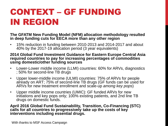# CONTEXT – GF FUNDING IN REGION

#### **The GFATM New Funding Model (NFM) allocation methodology resulted in deep funding cuts for EECA more than any other region**

• 15% reduction in funding between 2010-2013 and 2014-2017 and about 40% by the 2017-19 allocation period (3 year equivalents)

#### **2014 Global Fund Investment Guidance for Eastern Europe Central Asia required countries to pay for increasing percentages of commodities using domestic/other funding sources**

- Lower-Lower middle income (LLMI) countries: 60% for ARVs, diagnostics ; 50% for second-line TB drugs
- Upper lower-middle income (ULMI) countries: 75% of ARVs for people already on ART; 75% of second-line TB drugs (GF funds can be used for ARVs for new treatment enrollment and scale-up *among key pops*)
- Upper middle income countries (UMIC): GF funded ARVs for new initiations and key pops only; 100% existing patients, and 2nd line TB drugs on domestic funds.

#### **April 2016 Global Fund Sustainability, Transition, Co-Financing (STC) calls for all countries to progressively take up the costs of key interventions including essential drugs.**

With thanks to MSF Access Campaign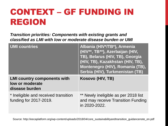## CONTEXT – GF FUNDING IN REGION

*Transition priorities: Components with existing grants and classified as LMI with low or moderate disease burden or UMI*

| <b>UMI countries</b>                                                    | Albania (HIV*/TB*), Armenia<br>(HIV**, TB**), Azerbaijan (HIV,<br>TB), Belarus (HIV, TB), Georgia<br>(HIV, TB), Kazakhstan (HIV, TB),<br>Montenegro (HIV), Romania (TB),<br>Serbia (HIV), Turkmenistan (TB) |
|-------------------------------------------------------------------------|-------------------------------------------------------------------------------------------------------------------------------------------------------------------------------------------------------------|
| <b>LMI country components with</b><br>low or moderate<br>disease burden | Kosovo (HIV, TB)                                                                                                                                                                                            |
| * Ineligible and received transition<br>funding for 2017-2019.          | ** Newly ineligible as per 2018 list<br>and may receive Transition Funding<br>in 2020-2022.                                                                                                                 |

Source: http://eecaplatform.org/wp-content/uploads/2018/04/core\_sustainabilityandtransition\_guidancenote\_en.pdf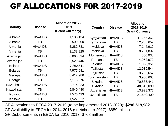### GF ALLOCATIONS F0R 2017-2019

| <b>Country</b> | <b>Disease</b>  | <b>Allocation 2017-</b><br>2019<br>(Grant Currency) | <b>Country</b>    | <b>Disease</b>  | <b>Allocation</b><br>2017-2019<br>(Grant Currency) |
|----------------|-----------------|-----------------------------------------------------|-------------------|-----------------|----------------------------------------------------|
| Albania        | <b>HIV/AIDS</b> | 1,138,134                                           | Kyrgyzstan        | <b>HIV/AIDS</b> | 11,266,362                                         |
| Albania        | TВ              | 500,000                                             | Kyrgyzstan        | ТB              | 12,203,652                                         |
| Armenia        | <b>HIV/AIDS</b> | 5,282,781                                           | Moldova           | <b>HIV/AIDS</b> | 7,144,919                                          |
| Armenia        | TВ              | 3,138,925                                           | Moldova           | ТB              | 8,751,802                                          |
| Azerbaijan     | <b>HIV/AIDS</b> | 6,068,394                                           | Montenegro        | <b>HIV/AIDS</b> | 556,938                                            |
| Azerbaijan     | ТB              | 6,529,446                                           | Romania           | ТB              | 4,052,972                                          |
| <b>Belarus</b> | <b>HIV/AIDS</b> | 7,862,511                                           | Serbia            | <b>HIV/AIDS</b> | 1,098,351                                          |
| <b>Belarus</b> | TB              | 7,977,941                                           | Tajikistan        | <b>HIV/AIDS</b> | 12,939,544                                         |
| Georgia        | <b>HIV/AIDS</b> | 8,412,986                                           | Tajikistan        | ТB              | 9,752,657                                          |
|                |                 |                                                     | Turkmenistan      | ТB              | 3,956,665                                          |
| Georgia        | ТB              | 7,175,076                                           | <b>Ukraine</b>    | <b>HIV/AIDS</b> | 70,836,441                                         |
| Kazakhstan     | <b>HIV/AIDS</b> | 2,714,223                                           | <b>Ukraine</b>    | ТB              | 48,646,090                                         |
| Kazakhstan     | ТB              | 9,840,440                                           | <b>Uzbekistan</b> | <b>HIV/AIDS</b> | 13,928,377                                         |
| Kosovo         | <b>HIV/AIDS</b> | 1,576,433                                           | <b>Uzbekistan</b> | TΒ              | 21,640,400                                         |
| Kosovo         | ТB              | 1,527,522                                           |                   |                 |                                                    |

GF Allocations to EECA 2017-2019 (to be implemented 2018-2020): \$**296,519,982** GF Availability to EECA for 2014-2016 (stretched to 2017): \$659 million GF Disbursements in EECA for 2010-2013: \$768 million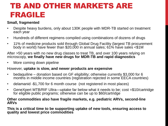### TB AND OTHER MARKETS ARE FRAGILE

#### **Small, fragmented**

- Despite heavy burdens, only about 130K people with MDR-TB started on treatment each year
- Hundreds of different regimens compiled using combinations of dozens of drugs
- 11% of medicine products sold through Global Drug Facility (largest TB procurement body in world) have fewer than \$20,000 in annual sales; 61% have sales <\$1M

After >50 years with no new drug classes to treat TB, and over 100 years relying on microscopy, **we finally have new drugs for MDR-TB and rapid diagnostics**

More coming down pipeline

#### However, **uptake is slow, and newer products are expensive**

- bedaquiline donation based on GF eligibility; otherwise currently \$3,000 for 6 months in middle income countries (registration rejected in some EECA countries)
- delamanid -\$1,700 for 6 month course (not registered in most places)
- GeneXpert MTB/RIF Ultra—uptake far below what it needs to be; cost =\$10/cartridge for eligible public programs; otherwise can be up to \$60/cartridge

#### **Other commodities also have fragile markets, e.g. pediatric ARVs, second-line ARVs**

**This is a critical time to be supporting uptake of new tools, ensuring access to quality and lowest price commodities**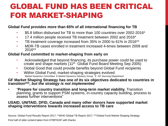### GLOBAL FUND HAS BEEN CRITICAL FOR MARKET-SHAPING

#### **Global Fund provides more than 65% of all international financing for TB**

- \$5.8 billion disbursed for TB to more than 100 countries over 2002-2016\*
- 17.4 million people received TB treatment between 2002 and 2016\*
- TB treatment coverage increased from 35% in 2000 to 61% in 2016<sup>\*\*</sup>
- MDR-TB cases enrolled in treatment increased 4-times between 2009 and 2016\*\*

#### **Global Fund committed to market-shaping from early on**

- Acknowledged that beyond financing, its purchase power could be used to create and shape markets (11th Global Fund Board Meeting Sep 2005)
- Global Good that could provide benefits beyond Global Fund recipients
- Within Global Fund, market-shaping strategies evolved: Market Dynamics Committee  $\rightarrow$  Market Dynamics Advisory Group  $\rightarrow$  GF Sourcing Department

#### **GF Market Shaping Strategy has one of its six objectives dedicated to countries in transition\*\*\*,** *but the strategy is not implemented*

• "**Prepare for country transition and long-term market viability.** Transition planning, grants to support PSM systems, in-country capacity building, process to assess further interventions"

#### **USAID, UNITAID, DFID, Canada and many other donors have supported market shaping interventions towards increased access to TB care**

Source: Global Fund Results Report 2017; \*\*WHO Global TB Report 2017; \*\*\*Global Fund Market Shaping Strategy

First half of slide content taken from STBP/GDF with thanks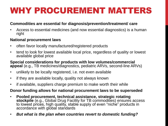### WHY PROCUREMENT MATTERS

#### **Commodities are essential for diagnosis/prevention/treatment/ care**

• Access to essential medicines (and now essential diagnostics) is a human right

#### **National procurement laws**

- often favor locally manufactured/registered products
- tend to look for lowest available local price, regardless of quality or lowest available global price

**Special considerations for products with low volumes/commercial appeal** (e.g., TB medicines/diagnostics, pediatric ARVs, second-line ARVs)

- unlikely to be locally registered, i.e. not even available
- if they are available locally, quality not always known
- if available, suppliers charge premium to make worth their while

#### **Donor funding allows for national procurement laws to be superseded**

- **Pooled procurement, technical assistance, strategic rotating**  stockpile (e.g., Global Drug Facility for TB commodities) ensures access to lowest prices, high quality, stable supply of even "niche" products in accordance with global standards
- *But what is the plan when countries revert to domestic funding?*